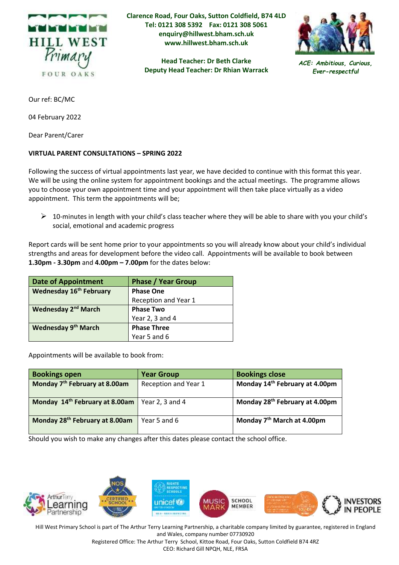

**Clarence Road, Four Oaks, Sutton Coldfield, B74 4LD Tel: 0121 308 5392 Fax: 0121 308 5061 enquiry@hillwest.bham.sch.uk www.hillwest.bham.sch.uk**

> **Head Teacher: Dr Beth Clarke Deputy Head Teacher: Dr Rhian Warrack**



*ACE: Ambitious, Curious, Ever-respectful*

Our ref: BC/MC

04 February 2022

Dear Parent/Carer

## **VIRTUAL PARENT CONSULTATIONS – SPRING 2022**

Following the success of virtual appointments last year, we have decided to continue with this format this year. We will be using the online system for appointment bookings and the actual meetings. The programme allows you to choose your own appointment time and your appointment will then take place virtually as a video appointment. This term the appointments will be;

 $\triangleright$  10-minutes in length with your child's class teacher where they will be able to share with you your child's social, emotional and academic progress

Report cards will be sent home prior to your appointments so you will already know about your child's individual strengths and areas for development before the video call. Appointments will be available to book between **1.30pm - 3.30pm** and **4.00pm – 7.00pm** for the dates below:

| <b>Date of Appointment</b>      | <b>Phase / Year Group</b> |  |
|---------------------------------|---------------------------|--|
| <b>Wednesday 16th February</b>  | <b>Phase One</b>          |  |
|                                 | Reception and Year 1      |  |
| Wednesday 2 <sup>nd</sup> March | <b>Phase Two</b>          |  |
|                                 | Year 2, 3 and 4           |  |
| Wednesday 9 <sup>th</sup> March | <b>Phase Three</b>        |  |
|                                 | Year 5 and 6              |  |

Appointments will be available to book from:

| <b>Bookings open</b>                       | <b>Year Group</b>    | <b>Bookings close</b>                      |
|--------------------------------------------|----------------------|--------------------------------------------|
| Monday 7 <sup>th</sup> February at 8.00am  | Reception and Year 1 | Monday 14 <sup>th</sup> February at 4.00pm |
| Monday 14th February at 8.00am             | Year 2, 3 and 4      | Monday 28 <sup>th</sup> February at 4.00pm |
| Monday 28 <sup>th</sup> February at 8.00am | Year 5 and 6         | Monday 7 <sup>th</sup> March at 4.00pm     |

Should you wish to make any changes after this dates please contact the school office.



Hill West Primary School is part of The Arthur Terry Learning Partnership, a charitable company limited by guarantee, registered in England and Wales, company number 07730920

Registered Office: The Arthur Terry School, Kittoe Road, Four Oaks, Sutton Coldfield B74 4RZ CEO: Richard Gill NPQH, NLE, FRSA